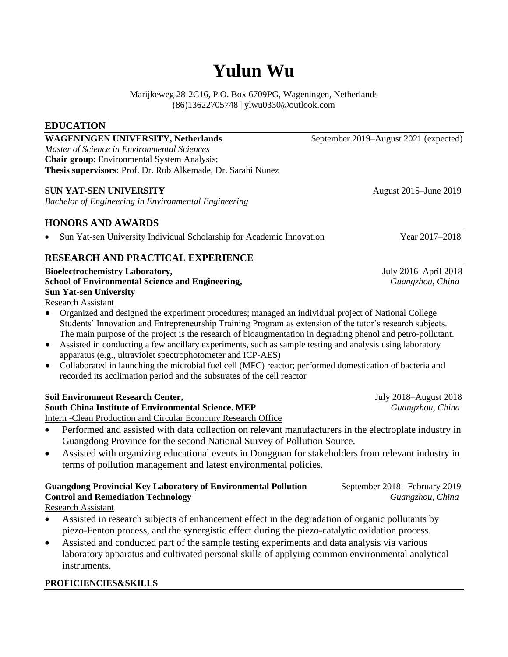# **Yulun Wu**

Marijkeweg 28-2C16, P.O. Box 6709PG, Wageningen, Netherlands (86)13622705748 | ylwu0330@outlook.com

### **EDUCATION**

**WAGENINGEN UNIVERSITY, Netherlands** September 2019–August 2021 (expected) *Master of Science in Environmental Sciences* **Chair group**: Environmental System Analysis; **Thesis supervisors**: Prof. Dr. Rob Alkemade, Dr. Sarahi Nunez

### **SUN YAT-SEN UNIVERSITY August 2015–June 2019**

*Bachelor of Engineering in Environmental Engineering*

# **HONORS AND AWARDS**

• Sun Yat-sen University Individual Scholarship for Academic Innovation Year 2017–2018

## **RESEARCH AND PRACTICAL EXPERIENCE**

**Bioelectrochemistry Laboratory,** July 2016–April 2018 **School of Environmental Science and Engineering,** *Guangzhou, China* **Sun Yat-sen University**

Research Assistant

- Organized and designed the experiment procedures; managed an individual project of National College Students' Innovation and Entrepreneurship Training Program as extension of the tutor's research subjects. The main purpose of the project is the research of bioaugmentation in degrading phenol and petro-pollutant.
- Assisted in conducting a few ancillary experiments, such as sample testing and analysis using laboratory apparatus (e.g., ultraviolet spectrophotometer and ICP-AES)
- Collaborated in launching the microbial fuel cell (MFC) reactor; performed domestication of bacteria and recorded its acclimation period and the substrates of the cell reactor

### **Soil Environment Research Center,** July 2018–August 2018

**South China Institute of Environmental Science. MEP** *Guangzhou, China* Intern -Clean Production and Circular Economy Research Office

- Performed and assisted with data collection on relevant manufacturers in the electroplate industry in Guangdong Province for the second National Survey of Pollution Source.
- Assisted with organizing educational events in Dongguan for stakeholders from relevant industry in terms of pollution management and latest environmental policies.

# **Guangdong Provincial Key Laboratory of Environmental Pollution** September 2018– February 2019 **Control and Remediation Technology** *Guangzhou, China*

Research Assistant

- Assisted in research subjects of enhancement effect in the degradation of organic pollutants by piezo-Fenton process, and the synergistic effect during the piezo-catalytic oxidation process.
- Assisted and conducted part of the sample testing experiments and data analysis via various laboratory apparatus and cultivated personal skills of applying common environmental analytical instruments.

#### **PROFICIENCIES&SKILLS**